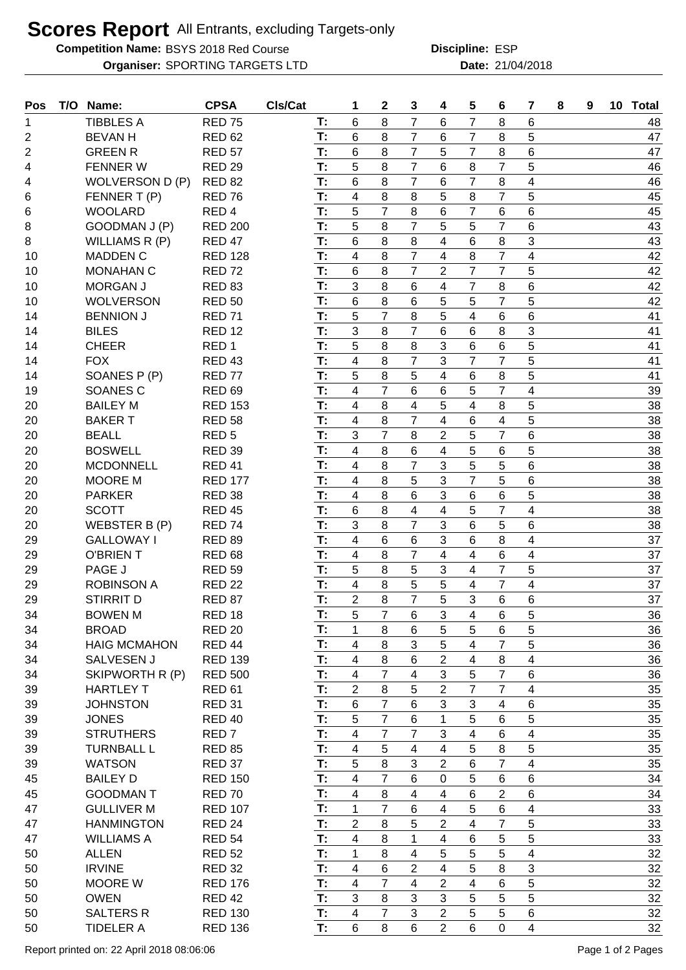## **Scores Report** All Entrants, excluding Targets-only

**Competition Name:** BSYS 2018 Red Course **EXACTE ESP Redicates ESP** 

**Organiser:** SPORTING TARGETS LTD **21/04/2018 Date:** 21/04/2018 **Discipline:**

| Pos            | T/O Name:                       | <b>CPSA</b>       | CIs/Cat |          | 1                        | $\mathbf{2}$   | 3                       | 4              | 5               | 6                       | 7                       | 8 | 9 | 10 Total |
|----------------|---------------------------------|-------------------|---------|----------|--------------------------|----------------|-------------------------|----------------|-----------------|-------------------------|-------------------------|---|---|----------|
| 1              | <b>TIBBLES A</b>                | <b>RED 75</b>     |         | T:       | 6                        | 8              | $\overline{7}$          | 6              | 7               | 8                       | 6                       |   |   | 48       |
| 2              | <b>BEVAN H</b>                  | <b>RED 62</b>     |         | T:       | 6                        | 8              | $\overline{7}$          | 6              | 7               | 8                       | 5                       |   |   | 47       |
| $\overline{2}$ | <b>GREEN R</b>                  | <b>RED 57</b>     |         | T:       | 6                        | 8              | $\overline{7}$          | 5              | $\overline{7}$  | 8                       | 6                       |   |   | 47       |
| 4              | <b>FENNER W</b>                 | <b>RED 29</b>     |         | T:       | 5                        | 8              | $\overline{7}$          | 6              | 8               | $\overline{7}$          | 5                       |   |   | 46       |
| 4              | WOLVERSON D (P)                 | <b>RED 82</b>     |         | T:       | 6                        | 8              | $\overline{7}$          | 6              | $\overline{7}$  | 8                       | 4                       |   |   | 46       |
| 6              | FENNER T(P)                     | <b>RED 76</b>     |         | T:       | $\overline{\mathbf{4}}$  | 8              | 8                       | 5              | 8               | $\overline{7}$          | 5                       |   |   | 45       |
| 6              | <b>WOOLARD</b>                  | RED <sub>4</sub>  |         | T:       | 5                        | $\overline{7}$ | 8                       | 6              | $\overline{7}$  | 6                       | 6                       |   |   | 45       |
| 8              | GOODMAN J (P)                   | <b>RED 200</b>    |         | T:       | 5                        | 8              | $\overline{7}$          | 5              | 5               | 7                       | 6                       |   |   | 43       |
| 8              | WILLIAMS R (P)                  | <b>RED 47</b>     |         | T:       | 6                        | 8              | 8                       | 4              | 6               | 8                       | 3                       |   |   | 43       |
| 10             | <b>MADDEN C</b>                 | <b>RED 128</b>    |         | T:       | $\overline{4}$           | 8              | $\overline{7}$          | 4              | 8               | $\overline{7}$          | 4                       |   |   | 42       |
| 10             | <b>MONAHAN C</b>                | <b>RED 72</b>     |         | T:       | 6                        | 8              | $\overline{7}$          | $\overline{2}$ | $\overline{7}$  | $\overline{7}$          | 5                       |   |   | 42       |
| 10             | <b>MORGAN J</b>                 | <b>RED 83</b>     |         | T:       | 3                        | 8              | 6                       | $\overline{4}$ | $\overline{7}$  | 8                       | 6                       |   |   | 42       |
| 10             | <b>WOLVERSON</b>                | <b>RED 50</b>     |         | T:       | 6                        | 8              | 6                       | 5              | 5               | $\overline{7}$          | 5                       |   |   | 42       |
| 14             | <b>BENNION J</b>                | <b>RED 71</b>     |         | T:       | 5                        | $\overline{7}$ | 8                       | 5              | 4               | 6                       | $6\phantom{1}$          |   |   | 41       |
| 14             | <b>BILES</b>                    | <b>RED 12</b>     |         | T:       | 3                        | 8              | $\overline{7}$          | 6              | 6               | 8                       | 3                       |   |   | 41       |
| 14             | <b>CHEER</b>                    | RED <sub>1</sub>  |         | T:       | 5                        | 8              | 8                       | 3              | 6               | 6                       | 5                       |   |   | 41       |
| 14             | <b>FOX</b>                      | <b>RED 43</b>     |         | T:       | $\overline{\mathbf{4}}$  | 8              | $\overline{7}$          | 3              | $\overline{7}$  | $\overline{7}$          | 5                       |   |   | 41       |
|                |                                 |                   |         | T:       | 5                        | 8              | 5                       | $\overline{4}$ | 6               | 8                       | 5                       |   |   |          |
| 14             | SOANES P (P)<br><b>SOANES C</b> | RED <sub>77</sub> |         | T:       | $\overline{4}$           | $\overline{7}$ | 6                       | 6              | 5               | $\overline{7}$          | $\overline{\mathbf{4}}$ |   |   | 41       |
| 19             | <b>BAILEY M</b>                 | <b>RED 69</b>     |         |          |                          |                |                         |                |                 |                         |                         |   |   | 39       |
| 20             |                                 | <b>RED 153</b>    |         | T:<br>T: | $\overline{4}$           | 8              | 4                       | 5              | 4               | 8                       | 5                       |   |   | 38       |
| 20             | <b>BAKERT</b>                   | <b>RED 58</b>     |         |          | $\overline{\mathbf{4}}$  | 8              | $\overline{7}$          | $\overline{4}$ | 6               | $\overline{\mathbf{4}}$ | 5                       |   |   | 38       |
| 20             | <b>BEALL</b>                    | RED <sub>5</sub>  |         | T:       | 3                        | $\overline{7}$ | 8                       | $\overline{2}$ | 5               | $\overline{7}$          | 6                       |   |   | 38       |
| 20             | <b>BOSWELL</b>                  | <b>RED 39</b>     |         | T:       | $\overline{\mathbf{4}}$  | 8              | 6                       | 4              | 5               | 6                       | 5                       |   |   | 38       |
| 20             | <b>MCDONNELL</b>                | <b>RED 41</b>     |         | T:       | $\overline{\mathbf{4}}$  | 8              | $\overline{7}$          | 3              | 5               | 5                       | 6                       |   |   | 38       |
| 20             | <b>MOORE M</b>                  | <b>RED 177</b>    |         | T:       | $\overline{4}$           | 8              | 5                       | 3              | $\overline{7}$  | 5                       | 6                       |   |   | 38       |
| 20             | <b>PARKER</b>                   | <b>RED 38</b>     |         | T:       | $\overline{4}$           | 8              | 6                       | 3              | 6               | 6                       | 5                       |   |   | 38       |
| 20             | <b>SCOTT</b>                    | <b>RED 45</b>     |         | T:       | 6                        | 8              | 4                       | $\overline{4}$ | 5               | $\overline{7}$          | 4                       |   |   | 38       |
| 20             | WEBSTER B (P)                   | <b>RED 74</b>     |         | T:       | 3                        | 8              | $\overline{7}$          | 3              | 6               | 5                       | 6                       |   |   | 38       |
| 29             | <b>GALLOWAY I</b>               | <b>RED 89</b>     |         | T:       | $\overline{\mathbf{4}}$  | 6              | 6                       | 3              | 6               | 8                       | 4                       |   |   | 37       |
| 29             | <b>O'BRIENT</b>                 | <b>RED 68</b>     |         | T:       | $\overline{\mathbf{4}}$  | 8              | $\overline{7}$          | $\overline{4}$ | 4               | 6<br>$\overline{7}$     | 4                       |   |   | 37       |
| 29             | PAGE J                          | <b>RED 59</b>     |         | T:<br>T: | 5                        | 8              | 5                       | 3              | 4               |                         | 5                       |   |   | 37       |
| 29             | <b>ROBINSON A</b>               | <b>RED 22</b>     |         |          | $\overline{4}$           | 8              | $\overline{5}$          | 5              | 4               | 7                       | $\overline{\mathbf{4}}$ |   |   | 37       |
| 29             | <b>STIRRIT D</b>                | <b>RED 87</b>     |         | T:       | $\overline{2}$           | 8              | $\overline{7}$          | 5              | 3               | 6                       | 6                       |   |   | 37       |
| 34             | <b>BOWEN M</b>                  | <b>RED 18</b>     |         | T:       | 5                        | $\overline{7}$ | 6                       | 3              | 4               | 6                       | 5                       |   |   | 36       |
| 34             | <b>BROAD</b>                    | <b>RED 20</b>     |         | T:       | $\mathbf{1}$             | 8              | 6                       | 5              | 5               | 6                       | 5                       |   |   | 36       |
| 34             | <b>HAIG MCMAHON</b>             | RED <sub>44</sub> |         | T.       | $\overline{\mathcal{A}}$ | 8              | 3                       | 5              | 4               | $\overline{7}$          | 5                       |   |   | 36       |
| 34             | SALVESEN J                      | <b>RED 139</b>    |         | T:       | $\overline{\mathbf{4}}$  | 8              | 6                       | $\overline{2}$ | 4               | 8                       | $\overline{\mathbf{4}}$ |   |   | 36       |
| 34             | SKIPWORTH R (P)                 | <b>RED 500</b>    |         | T:       | $\overline{4}$           | $\overline{7}$ | $\overline{\mathbf{4}}$ | 3              | 5               | $\overline{7}$          | $\,6$                   |   |   | 36       |
| 39             | <b>HARTLEY T</b>                | <b>RED 61</b>     |         | T:       | $\overline{2}$           | $\,8\,$        | 5                       | $\overline{2}$ | $\overline{7}$  | $\overline{7}$          | $\overline{4}$          |   |   | 35       |
| 39             | <b>JOHNSTON</b>                 | <b>RED 31</b>     |         | T:       | 6                        | $\overline{7}$ | 6                       | 3              | $\mathbf{3}$    | 4                       | 6                       |   |   | 35       |
| 39             | <b>JONES</b>                    | <b>RED 40</b>     |         | T:       | 5                        | $\overline{7}$ | 6                       | 1              | 5               | 6                       | 5                       |   |   | 35       |
| 39             | <b>STRUTHERS</b>                | RED <sub>7</sub>  |         | T:       | $\overline{4}$           | $\overline{7}$ | $\overline{7}$          | 3              | 4               | 6                       | 4                       |   |   | 35       |
| 39             | <b>TURNBALL L</b>               | <b>RED 85</b>     |         | T:       | $\overline{\mathbf{4}}$  | 5              | 4                       | $\overline{4}$ | 5               | 8                       | 5                       |   |   | 35       |
| 39             | <b>WATSON</b>                   | <b>RED 37</b>     |         | T:       | 5                        | 8              | 3                       | $\overline{2}$ | 6               | $\overline{7}$          | $\overline{4}$          |   |   | 35       |
| 45             | <b>BAILEY D</b>                 | <b>RED 150</b>    |         | T:       | $\overline{4}$           | $\overline{7}$ | 6                       | 0              | 5               | 6                       | 6                       |   |   | 34       |
| 45             | <b>GOODMAN T</b>                | <b>RED 70</b>     |         | T:       | $\overline{\mathbf{4}}$  | 8              | 4                       | $\overline{4}$ | $6\phantom{1}$  | $\overline{2}$          | 6                       |   |   | 34       |
| 47             | <b>GULLIVER M</b>               | <b>RED 107</b>    |         | T:       | $\mathbf{1}$             | $\overline{7}$ | 6                       | 4              | 5               | 6                       | 4                       |   |   | 33       |
| 47             | <b>HANMINGTON</b>               | <b>RED 24</b>     |         | T:       | $\overline{2}$           | 8              | 5                       | $\overline{2}$ | 4               | 7                       | 5                       |   |   | 33       |
| 47             | <b>WILLIAMS A</b>               | <b>RED 54</b>     |         | T:       | $\overline{4}$           | 8              | 1                       | $\overline{4}$ | 6               | 5                       | 5                       |   |   | 33       |
| 50             | <b>ALLEN</b>                    | <b>RED 52</b>     |         | T:       | $\mathbf{1}$             | 8              | 4                       | 5              | 5               | 5                       | $\overline{4}$          |   |   | 32       |
| 50             | <b>IRVINE</b>                   | <b>RED 32</b>     |         | T:       | $\overline{4}$           | $\,6\,$        | $\overline{2}$          | 4              | 5               | 8                       | 3                       |   |   | 32       |
| 50             | <b>MOORE W</b>                  | <b>RED 176</b>    |         | T:       | $\overline{4}$           | $\overline{7}$ | 4                       | $\overline{2}$ | 4               | 6                       | 5                       |   |   | 32       |
| 50             | <b>OWEN</b>                     | <b>RED 42</b>     |         | T:       | 3                        | 8              | 3                       | 3              | 5               | 5                       | 5                       |   |   | 32       |
| 50             | <b>SALTERS R</b>                | <b>RED 130</b>    |         | T:       | 4                        | $\overline{7}$ | 3                       | 2              | 5               | 5                       | 6                       |   |   | 32       |
| 50             | <b>TIDELER A</b>                | <b>RED 136</b>    |         | T:       | $\,6$                    | 8              | 6                       | $\overline{2}$ | $6\phantom{1}6$ | $\mathbf 0$             | $\overline{4}$          |   |   | 32       |